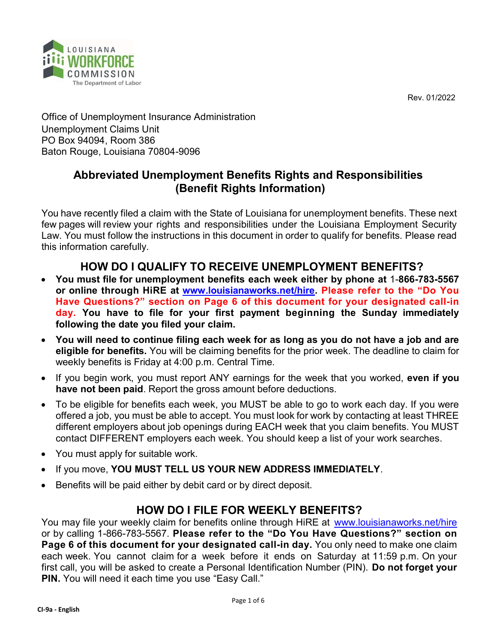Rev. 01/2022



Office of Unemployment Insurance Administration Unemployment Claims Unit PO Box 94094, Room 386 Baton Rouge, Louisiana 70804-9096

# Abbreviated Unemployment Benefits Rights and Responsibilities (Benefit Rights Information)

You have recently filed a claim with the State of Louisiana for unemployment benefits. These next few pages will review your rights and responsibilities under the Louisiana Employment Security Law. You must follow the instructions in this document in order to qualify for benefits. Please read this information carefully.

# HOW DO I QUALIFY TO RECEIVE UNEMPLOYMENT BENEFITS?

- You must file for unemployment benefits each week either by phone at 1-866-783-5567 or online through HiRE at www.louisianaworks.net/hire. Please refer to the "Do You Have Questions?" section on Page 6 of this document for your designated call-in day. You have to file for your first payment beginning the Sunday immediately following the date you filed your claim.
- You will need to continue filing each week for as long as you do not have a job and are eligible for benefits. You will be claiming benefits for the prior week. The deadline to claim for weekly benefits is Friday at 4:00 p.m. Central Time.
- If you begin work, you must report ANY earnings for the week that you worked, even if you have not been paid. Report the gross amount before deductions.
- To be eligible for benefits each week, you MUST be able to go to work each day. If you were offered a job, you must be able to accept. You must look for work by contacting at least THREE different employers about job openings during EACH week that you claim benefits. You MUST contact DIFFERENT employers each week. You should keep a list of your work searches.
- You must apply for suitable work.
- . If you move, YOU MUST TELL US YOUR NEW ADDRESS IMMEDIATELY.
- Benefits will be paid either by debit card or by direct deposit.

# HOW DO I FILE FOR WEEKLY BENEFITS?

You may file your weekly claim for benefits online through HiRE at www.louisianaworks.net/hire or by calling 1-866-783-5567. Please refer to the "Do You Have Questions?" section on Page 6 of this document for your designated call-in day. You only need to make one claim each week. You cannot claim for a week before it ends on Saturday at 11:59 p.m. On your first call, you will be asked to create a Personal Identification Number (PIN). Do not forget your PIN. You will need it each time you use "Easy Call."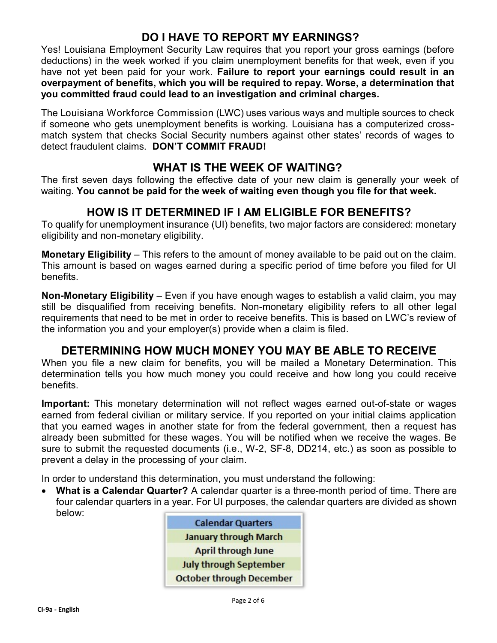# DO I HAVE TO REPORT MY EARNINGS?

Yes! Louisiana Employment Security Law requires that you report your gross earnings (before deductions) in the week worked if you claim unemployment benefits for that week, even if you have not yet been paid for your work. Failure to report your earnings could result in an overpayment of benefits, which you will be required to repay. Worse, a determination that you committed fraud could lead to an investigation and criminal charges.

The Louisiana Workforce Commission (LWC) uses various ways and multiple sources to check if someone who gets unemployment benefits is working. Louisiana has a computerized crossmatch system that checks Social Security numbers against other states' records of wages to detect fraudulent claims. DON'T COMMIT FRAUD!

## WHAT IS THE WEEK OF WAITING?

The first seven days following the effective date of your new claim is generally your week of waiting. You cannot be paid for the week of waiting even though you file for that week.

# HOW IS IT DETERMINED IF I AM ELIGIBLE FOR BENEFITS?

To qualify for unemployment insurance (UI) benefits, two major factors are considered: monetary eligibility and non-monetary eligibility.

Monetary Eligibility – This refers to the amount of money available to be paid out on the claim. This amount is based on wages earned during a specific period of time before you filed for UI benefits.

Non-Monetary Eligibility – Even if you have enough wages to establish a valid claim, you may still be disqualified from receiving benefits. Non-monetary eligibility refers to all other legal requirements that need to be met in order to receive benefits. This is based on LWC's review of the information you and your employer(s) provide when a claim is filed.

## DETERMINING HOW MUCH MONEY YOU MAY BE ABLE TO RECEIVE

When you file a new claim for benefits, you will be mailed a Monetary Determination. This determination tells you how much money you could receive and how long you could receive benefits.

Important: This monetary determination will not reflect wages earned out-of-state or wages earned from federal civilian or military service. If you reported on your initial claims application that you earned wages in another state for from the federal government, then a request has already been submitted for these wages. You will be notified when we receive the wages. Be sure to submit the requested documents (i.e., W-2, SF-8, DD214, etc.) as soon as possible to prevent a delay in the processing of your claim.

In order to understand this determination, you must understand the following:

• What is a Calendar Quarter? A calendar quarter is a three-month period of time. There are four calendar quarters in a year. For UI purposes, the calendar quarters are divided as shown below:

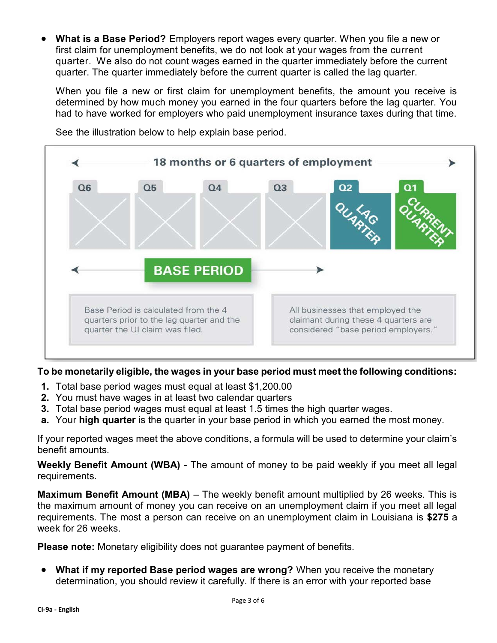What is a Base Period? Employers report wages every quarter. When you file a new or first claim for unemployment benefits, we do not look at your wages from the current quarter. We also do not count wages earned in the quarter immediately before the current quarter. The quarter immediately before the current quarter is called the lag quarter.

When you file a new or first claim for unemployment benefits, the amount you receive is determined by how much money you earned in the four quarters before the lag quarter. You had to have worked for employers who paid unemployment insurance taxes during that time.



See the illustration below to help explain base period.

#### To be monetarily eligible, the wages in your base period must meet the following conditions:

- 1. Total base period wages must equal at least \$1,200.00
- 2. You must have wages in at least two calendar quarters
- **3.** Total base period wages must equal at least 1.5 times the high quarter wages.
- a. Your high quarter is the quarter in your base period in which you earned the most money.

If your reported wages meet the above conditions, a formula will be used to determine your claim's benefit amounts.

Weekly Benefit Amount (WBA) - The amount of money to be paid weekly if you meet all legal requirements.

Maximum Benefit Amount (MBA) – The weekly benefit amount multiplied by 26 weeks. This is the maximum amount of money you can receive on an unemployment claim if you meet all legal requirements. The most a person can receive on an unemployment claim in Louisiana is \$275 a week for 26 weeks.

Please note: Monetary eligibility does not guarantee payment of benefits.

• What if my reported Base period wages are wrong? When you receive the monetary determination, you should review it carefully. If there is an error with your reported base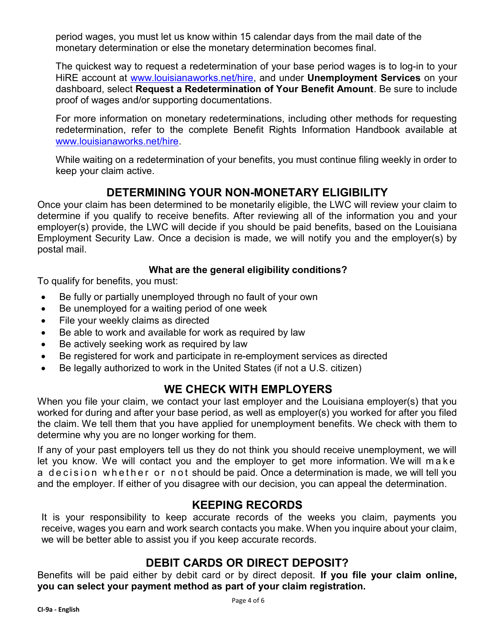period wages, you must let us know within 15 calendar days from the mail date of the monetary determination or else the monetary determination becomes final.

The quickest way to request a redetermination of your base period wages is to log-in to your HiRE account at www.louisianaworks.net/hire, and under Unemployment Services on your dashboard, select Request a Redetermination of Your Benefit Amount. Be sure to include proof of wages and/or supporting documentations.

For more information on monetary redeterminations, including other methods for requesting redetermination, refer to the complete Benefit Rights Information Handbook available at www.louisianaworks.net/hire.

While waiting on a redetermination of your benefits, you must continue filing weekly in order to keep your claim active.

### DETERMINING YOUR NON-MONETARY ELIGIBILITY

Once your claim has been determined to be monetarily eligible, the LWC will review your claim to determine if you qualify to receive benefits. After reviewing all of the information you and your employer(s) provide, the LWC will decide if you should be paid benefits, based on the Louisiana Employment Security Law. Once a decision is made, we will notify you and the employer(s) by postal mail.

#### What are the general eligibility conditions?

To qualify for benefits, you must:

- Be fully or partially unemployed through no fault of your own
- Be unemployed for a waiting period of one week
- File your weekly claims as directed
- Be able to work and available for work as required by law
- Be actively seeking work as required by law
- Be registered for work and participate in re-employment services as directed
- Be legally authorized to work in the United States (if not a U.S. citizen)

## WE CHECK WITH EMPLOYERS

When you file your claim, we contact your last employer and the Louisiana employer(s) that you worked for during and after your base period, as well as employer(s) you worked for after you filed the claim. We tell them that you have applied for unemployment benefits. We check with them to determine why you are no longer working for them.

If any of your past employers tell us they do not think you should receive unemployment, we will let you know. We will contact you and the employer to get more information. We will m a k e a decision whether or not should be paid. Once a determination is made, we will tell you and the employer. If either of you disagree with our decision, you can appeal the determination.

## KEEPING RECORDS

It is your responsibility to keep accurate records of the weeks you claim, payments you receive, wages you earn and work search contacts you make. When you inquire about your claim, we will be better able to assist you if you keep accurate records.

#### DEBIT CARDS OR DIRECT DEPOSIT?

Benefits will be paid either by debit card or by direct deposit. If you file your claim online, you can select your payment method as part of your claim registration.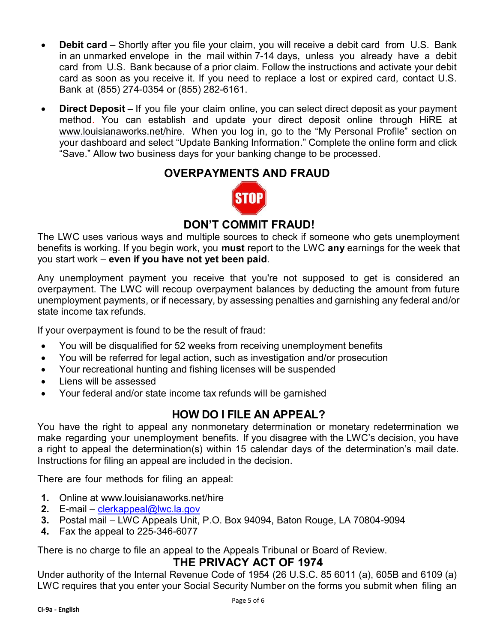- Debit card Shortly after you file your claim, you will receive a debit card from U.S. Bank in an unmarked envelope in the mail within 7-14 days, unless you already have a debit card from U.S. Bank because of a prior claim. Follow the instructions and activate your debit card as soon as you receive it. If you need to replace a lost or expired card, contact U.S. Bank at (855) 274-0354 or (855) 282-6161.
- Direct Deposit If you file your claim online, you can select direct deposit as your payment method. You can establish and update your direct deposit online through HiRE at www.louisianaworks.net/hire. When you log in, go to the "My Personal Profile" section on your dashboard and select "Update Banking Information." Complete the online form and click "Save." Allow two business days for your banking change to be processed.

### OVERPAYMENTS AND FRAUD



# DON'T COMMIT FRAUD!

The LWC uses various ways and multiple sources to check if someone who gets unemployment benefits is working. If you begin work, you **must** report to the LWC any earnings for the week that you start work – even if you have not yet been paid.

Any unemployment payment you receive that you're not supposed to get is considered an overpayment. The LWC will recoup overpayment balances by deducting the amount from future unemployment payments, or if necessary, by assessing penalties and garnishing any federal and/or state income tax refunds.

If your overpayment is found to be the result of fraud:

- You will be disqualified for 52 weeks from receiving unemployment benefits
- You will be referred for legal action, such as investigation and/or prosecution
- Your recreational hunting and fishing licenses will be suspended
- Liens will be assessed
- Your federal and/or state income tax refunds will be garnished

## HOW DO I FILE AN APPEAL?

You have the right to appeal any nonmonetary determination or monetary redetermination we make regarding your unemployment benefits. If you disagree with the LWC's decision, you have a right to appeal the determination(s) within 15 calendar days of the determination's mail date. Instructions for filing an appeal are included in the decision.

There are four methods for filing an appeal:

- 1. Online at www.louisianaworks.net/hire
- 2. E-mail clerkappeal@lwc.la.gov
- 3. Postal mail LWC Appeals Unit, P.O. Box 94094, Baton Rouge, LA 70804-9094
- 4. Fax the appeal to 225-346-6077

There is no charge to file an appeal to the Appeals Tribunal or Board of Review.

#### THE PRIVACY ACT OF 1974

Under authority of the Internal Revenue Code of 1954 (26 U.S.C. 85 6011 (a), 605B and 6109 (a) LWC requires that you enter your Social Security Number on the forms you submit when filing an